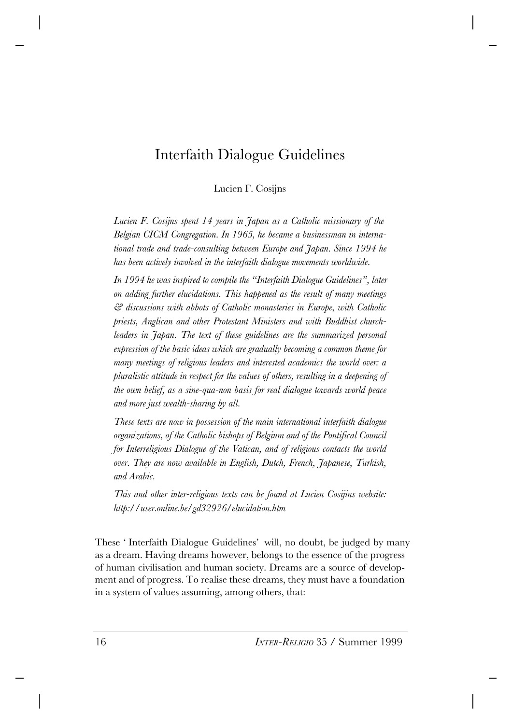## Interfaith Dialogue Guidelines

Lucien F. Cosijns

*Lucien F. Cosijns spent 14 years in Japan as a Catholic missionary of the Belgian CICM Congregation. In 1965, he became a businessman in international trade and trade-consulting between Europe and Japan. Since 1994 he has been actively involved in the interfaith dialogue movements worldwide.*

*In 1994 he was inspired to compile the "Interfaith Dialogue Guidelines", later on adding further elucidations. This happened as the result of many meetings & discussions with abbots of Catholic monasteries in Europe, with Catholic priests, Anglican and other Protestant Ministers and with Buddhist churchleaders in Japan. The text of these guidelines are the summarized personal expression of the basic ideas which are gradually becoming a common theme for many meetings of religious leaders and interested academics the world over: a pluralistic attitude in respect for the values of others, resulting in a deepening of the own belief, as a sine-qua-non basis for real dialogue towards world peace and more just wealth-sharing by all.*

*These texts are now in possession of the main international interfaith dialogue organizations, of the Catholic bishops of Belgium and of the Pontifical Council for Interreligious Dialogue of the Vatican, and of religious contacts the world over. They are now available in English, Dutch, French, Japanese, Turkish, and Arabic.*

*This and other inter-religious texts can be found at Lucien Cosijins website: http://user.online.be/gd32926/elucidation.htm*

These 'Interfaith Dialogue Guidelines' will, no doubt, be judged by many as a dream. Having dreams however, belongs to the essence of the progress of human civilisation and human society. Dreams are a source of development and of progress. To realise these dreams, they must have a foundation in a system of values assuming, among others, that: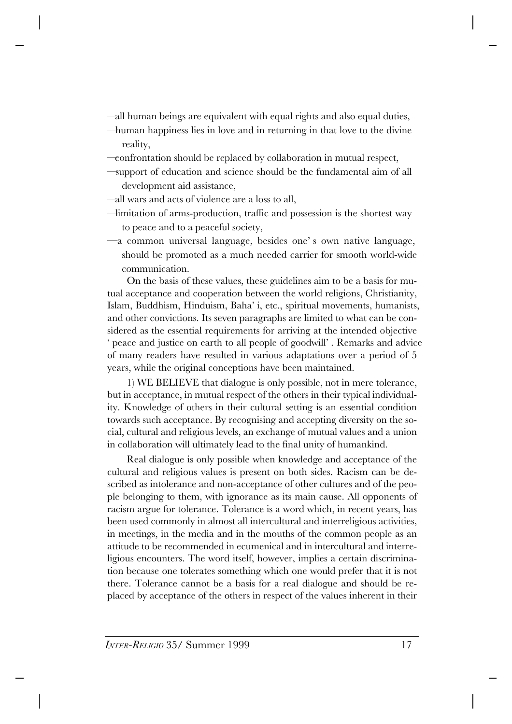- all human beings are equivalent with equal rights and also equal duties,
- human happiness lies in love and in returning in that love to the divine reality,
- confrontation should be replaced by collaboration in mutual respect,
- support of education and science should be the fundamental aim of all development aid assistance,
- all wars and acts of violence are a loss to all,
- limitation of arms-production, traffic and possession is the shortest way to peace and to a peaceful society,
- a common universal language, besides one's own native language, should be promoted as a much needed carrier for smooth world-wide communication.

On the basis of these values, these guidelines aim to be a basis for mutual acceptance and cooperation between the world religions, Christianity, Islam, Buddhism, Hinduism, Baha'i, etc., spiritual movements, humanists, and other convictions. Its seven paragraphs are limited to what can be considered as the essential requirements for arriving at the intended objective 'peace and justice on earth to all people of goodwill'. Remarks and advice of many readers have resulted in various adaptations over a period of 5 years, while the original conceptions have been maintained.

1) WE BELIEVE that dialogue is only possible, not in mere tolerance, but in acceptance, in mutual respect of the others in their typical individuality. Knowledge of others in their cultural setting is an essential condition towards such acceptance. By recognising and accepting diversity on the social, cultural and religious levels, an exchange of mutual values and a union in collaboration will ultimately lead to the final unity of humankind.

Real dialogue is only possible when knowledge and acceptance of the cultural and religious values is present on both sides. Racism can be described as intolerance and non-acceptance of other cultures and of the people belonging to them, with ignorance as its main cause. All opponents of racism argue for tolerance. Tolerance is a word which, in recent years, has been used commonly in almost all intercultural and interreligious activities, in meetings, in the media and in the mouths of the common people as an attitude to be recommended in ecumenical and in intercultural and interreligious encounters. The word itself, however, implies a certain discrimination because one tolerates something which one would prefer that it is not there. Tolerance cannot be a basis for a real dialogue and should be replaced by acceptance of the others in respect of the values inherent in their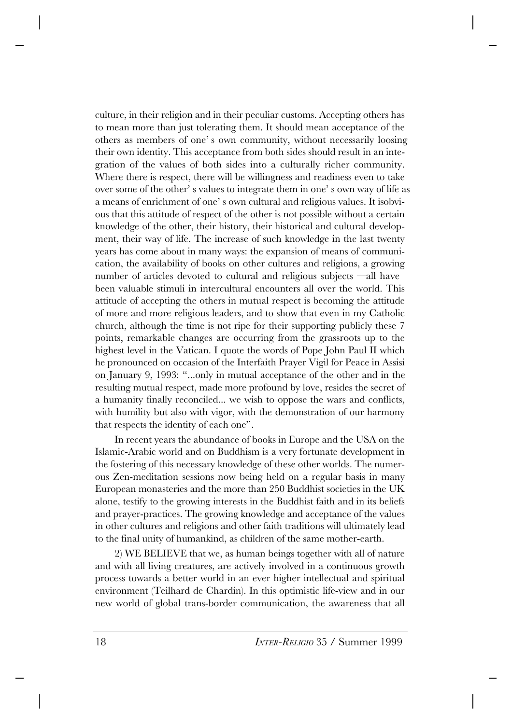culture, in their religion and in their peculiar customs. Accepting others has to mean more than just tolerating them. It should mean acceptance of the others as members of one's own community, without necessarily loosing their own identity. This acceptance from both sides should result in an integration of the values of both sides into a culturally richer community. Where there is respect, there will be willingness and readiness even to take over some of the other's values to integrate them in one's own way of life as a means of enrichment of one's own cultural and religious values. It isobvious that this attitude of respect of the other is not possible without a certain knowledge of the other, their history, their historical and cultural development, their way of life. The increase of such knowledge in the last twenty years has come about in many ways: the expansion of means of communication, the availability of books on other cultures and religions, a growing number of articles devoted to cultural and religious subjects — all have been valuable stimuli in intercultural encounters all over the world. This attitude of accepting the others in mutual respect is becoming the attitude of more and more religious leaders, and to show that even in my Catholic church, although the time is not ripe for their supporting publicly these 7 points, remarkable changes are occurring from the grassroots up to the highest level in the Vatican. I quote the words of Pope John Paul II which he pronounced on occasion of the Interfaith Prayer Vigil for Peace in Assisi on January 9, 1993: "...only in mutual acceptance of the other and in the resulting mutual respect, made more profound by love, resides the secret of a humanity finally reconciled... we wish to oppose the wars and conflicts, with humility but also with vigor, with the demonstration of our harmony that respects the identity of each one".

In recent years the abundance of books in Europe and the USA on the Islamic-Arabic world and on Buddhism is a very fortunate development in the fostering of this necessary knowledge of these other worlds. The numerous Zen-meditation sessions now being held on a regular basis in many European monasteries and the more than 250 Buddhist societies in the UK alone, testify to the growing interests in the Buddhist faith and in its beliefs and prayer-practices. The growing knowledge and acceptance of the values in other cultures and religions and other faith traditions will ultimately lead to the final unity of humankind, as children of the same mother-earth.

2) WE BELIEVE that we, as human beings together with all of nature and with all living creatures, are actively involved in a continuous growth process towards a better world in an ever higher intellectual and spiritual environment (Teilhard de Chardin). In this optimistic life-view and in our new world of global trans-border communication, the awareness that all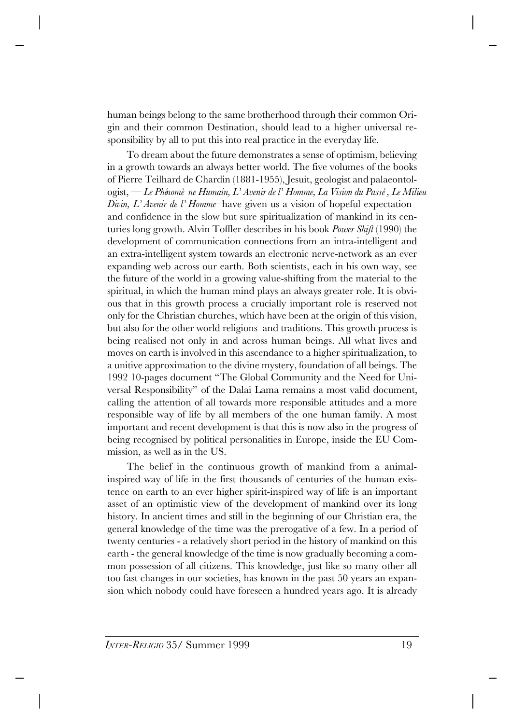human beings belong to the same brotherhood through their common Origin and their common Destination, should lead to a higher universal responsibility by all to put this into real practice in the everyday life.

To dream about the future demonstrates a sense of optimism, believing in a growth towards an always better world. The five volumes of the books of Pierre Teilhard de Chardin (1881-1955), Jesuit, geologist and palaeontologist, — *Le Phénomè ne Humain, L'Avenir de l'Homme, La Vision du Passé, Le Milieu Divin, L'Avenir de l'Homme*—have given us a vision of hopeful expectation and confidence in the slow but sure spiritualization of mankind in its centuries long growth. Alvin Toffler describes in his book *Power Shift* (1990) the development of communication connections from an intra-intelligent and an extra-intelligent system towards an electronic nerve-network as an ever expanding web across our earth. Both scientists, each in his own way, see the future of the world in a growing value-shifting from the material to the spiritual, in which the human mind plays an always greater role. It is obvious that in this growth process a crucially important role is reserved not only for the Christian churches, which have been at the origin of this vision, but also for the other world religions and traditions. This growth process is being realised not only in and across human beings. All what lives and moves on earth is involved in this ascendance to a higher spiritualization, to a unitive approximation to the divine mystery, foundation of all beings. The 1992 10-pages document "The Global Community and the Need for Universal Responsibility" of the Dalai Lama remains a most valid document, calling the attention of all towards more responsible attitudes and a more responsible way of life by all members of the one human family. A most important and recent development is that this is now also in the progress of being recognised by political personalities in Europe, inside the EU Commission, as well as in the US.

The belief in the continuous growth of mankind from a animalinspired way of life in the first thousands of centuries of the human existence on earth to an ever higher spirit-inspired way of life is an important asset of an optimistic view of the development of mankind over its long history. In ancient times and still in the beginning of our Christian era, the general knowledge of the time was the prerogative of a few. In a period of twenty centuries - a relatively short period in the history of mankind on this earth - the general knowledge of the time is now gradually becoming a common possession of all citizens. This knowledge, just like so many other all too fast changes in our societies, has known in the past 50 years an expansion which nobody could have foreseen a hundred years ago. It is already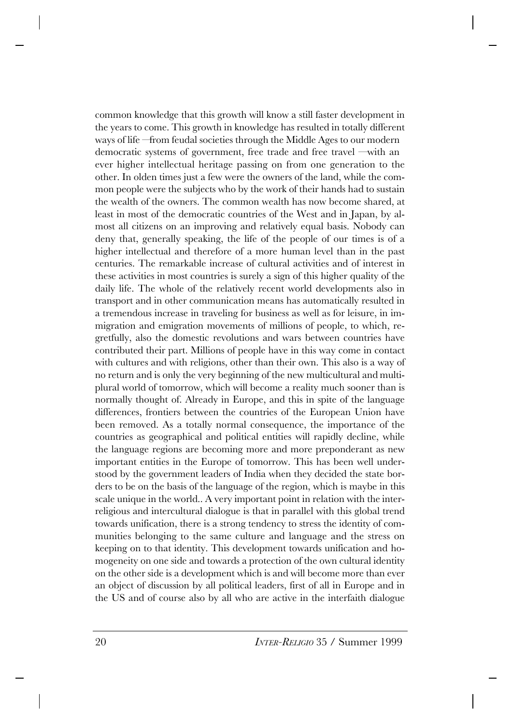common knowledge that this growth will know a still faster development in the years to come. This growth in knowledge has resulted in totally different ways of life — from feudal societies through the Middle Ages to our modern democratic systems of government, free trade and free travel — with an ever higher intellectual heritage passing on from one generation to the other. In olden times just a few were the owners of the land, while the common people were the subjects who by the work of their hands had to sustain the wealth of the owners. The common wealth has now become shared, at least in most of the democratic countries of the West and in Japan, by almost all citizens on an improving and relatively equal basis. Nobody can deny that, generally speaking, the life of the people of our times is of a higher intellectual and therefore of a more human level than in the past centuries. The remarkable increase of cultural activities and of interest in these activities in most countries is surely a sign of this higher quality of the daily life. The whole of the relatively recent world developments also in transport and in other communication means has automatically resulted in a tremendous increase in traveling for business as well as for leisure, in immigration and emigration movements of millions of people, to which, regretfully, also the domestic revolutions and wars between countries have contributed their part. Millions of people have in this way come in contact with cultures and with religions, other than their own. This also is a way of no return and is only the very beginning of the new multicultural and multiplural world of tomorrow, which will become a reality much sooner than is normally thought of. Already in Europe, and this in spite of the language differences, frontiers between the countries of the European Union have been removed. As a totally normal consequence, the importance of the countries as geographical and political entities will rapidly decline, while the language regions are becoming more and more preponderant as new important entities in the Europe of tomorrow. This has been well understood by the government leaders of India when they decided the state borders to be on the basis of the language of the region, which is maybe in this scale unique in the world.. A very important point in relation with the interreligious and intercultural dialogue is that in parallel with this global trend towards unification, there is a strong tendency to stress the identity of communities belonging to the same culture and language and the stress on keeping on to that identity. This development towards unification and homogeneity on one side and towards a protection of the own cultural identity on the other side is a development which is and will become more than ever an object of discussion by all political leaders, first of all in Europe and in the US and of course also by all who are active in the interfaith dialogue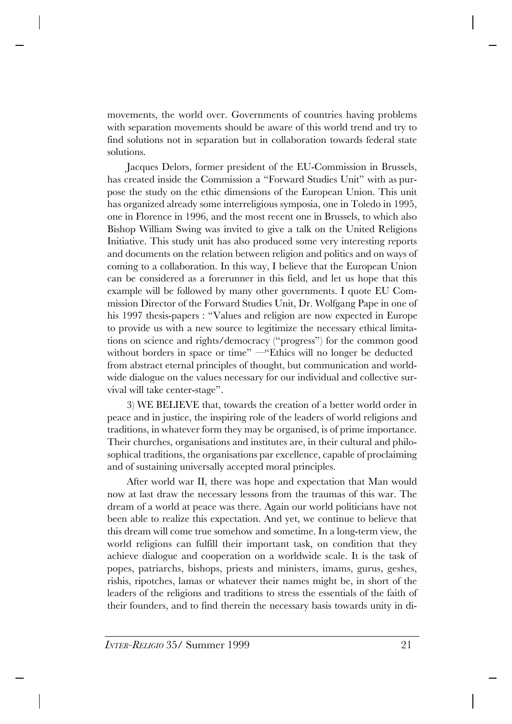movements, the world over. Governments of countries having problems with separation movements should be aware of this world trend and try to find solutions not in separation but in collaboration towards federal state solutions.

Jacques Delors, former president of the EU-Commission in Brussels, has created inside the Commission a "Forward Studies Unit" with as purpose the study on the ethic dimensions of the European Union. This unit has organized already some interreligious symposia, one in Toledo in 1995, one in Florence in 1996, and the most recent one in Brussels, to which also Bishop William Swing was invited to give a talk on the United Religions Initiative. This study unit has also produced some very interesting reports and documents on the relation between religion and politics and on ways of coming to a collaboration. In this way, I believe that the European Union can be considered as a forerunner in this field, and let us hope that this example will be followed by many other governments. I quote EU Commission Director of the Forward Studies Unit, Dr. Wolfgang Pape in one of his 1997 thesis-papers : "Values and religion are now expected in Europe to provide us with a new source to legitimize the necessary ethical limitations on science and rights/democracy ("progress") for the common good without borders in space or time" — "Ethics will no longer be deducted from abstract eternal principles of thought, but communication and worldwide dialogue on the values necessary for our individual and collective survival will take center-stage".

3) WE BELIEVE that, towards the creation of a better world order in peace and in justice, the inspiring role of the leaders of world religions and traditions, in whatever form they may be organised, is of prime importance. Their churches, organisations and institutes are, in their cultural and philosophical traditions, the organisations par excellence, capable of proclaiming and of sustaining universally accepted moral principles.

After world war II, there was hope and expectation that Man would now at last draw the necessary lessons from the traumas of this war. The dream of a world at peace was there. Again our world politicians have not been able to realize this expectation. And yet, we continue to believe that this dream will come true somehow and sometime. In a long-term view, the world religions can fulfill their important task, on condition that they achieve dialogue and cooperation on a worldwide scale. It is the task of popes, patriarchs, bishops, priests and ministers, imams, gurus, geshes, rishis, ripotches, lamas or whatever their names might be, in short of the leaders of the religions and traditions to stress the essentials of the faith of their founders, and to find therein the necessary basis towards unity in di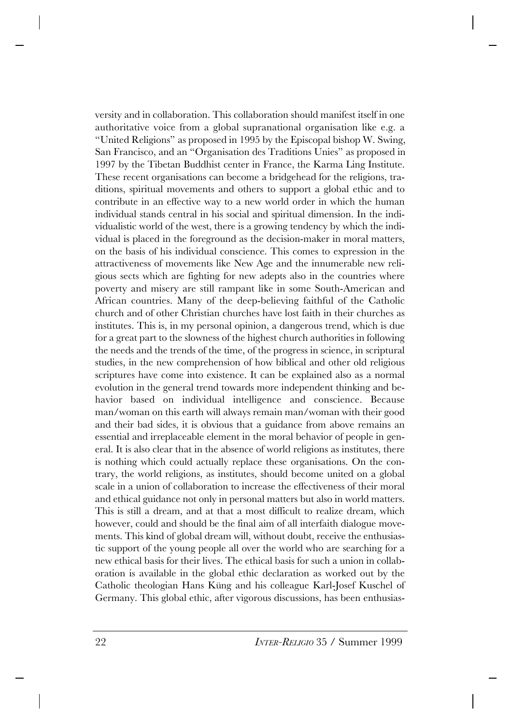versity and in collaboration. This collaboration should manifest itself in one authoritative voice from a global supranational organisation like e.g. a "United Religions" as proposed in 1995 by the Episcopal bishop W. Swing, San Francisco, and an "Organisation des Traditions Unies" as proposed in 1997 by the Tibetan Buddhist center in France, the Karma Ling Institute. These recent organisations can become a bridgehead for the religions, traditions, spiritual movements and others to support a global ethic and to contribute in an effective way to a new world order in which the human individual stands central in his social and spiritual dimension. In the individualistic world of the west, there is a growing tendency by which the individual is placed in the foreground as the decision-maker in moral matters, on the basis of his individual conscience. This comes to expression in the attractiveness of movements like New Age and the innumerable new religious sects which are fighting for new adepts also in the countries where poverty and misery are still rampant like in some South-American and African countries. Many of the deep-believing faithful of the Catholic church and of other Christian churches have lost faith in their churches as institutes. This is, in my personal opinion, a dangerous trend, which is due for a great part to the slowness of the highest church authorities in following the needs and the trends of the time, of the progress in science, in scriptural studies, in the new comprehension of how biblical and other old religious scriptures have come into existence. It can be explained also as a normal evolution in the general trend towards more independent thinking and behavior based on individual intelligence and conscience. Because man/woman on this earth will always remain man/woman with their good and their bad sides, it is obvious that a guidance from above remains an essential and irreplaceable element in the moral behavior of people in general. It is also clear that in the absence of world religions as institutes, there is nothing which could actually replace these organisations. On the contrary, the world religions, as institutes, should become united on a global scale in a union of collaboration to increase the effectiveness of their moral and ethical guidance not only in personal matters but also in world matters. This is still a dream, and at that a most difficult to realize dream, which however, could and should be the final aim of all interfaith dialogue movements. This kind of global dream will, without doubt, receive the enthusiastic support of the young people all over the world who are searching for a new ethical basis for their lives. The ethical basis for such a union in collaboration is available in the global ethic declaration as worked out by the Catholic theologian Hans Küng and his colleague Karl-Josef Kuschel of Germany. This global ethic, after vigorous discussions, has been enthusias-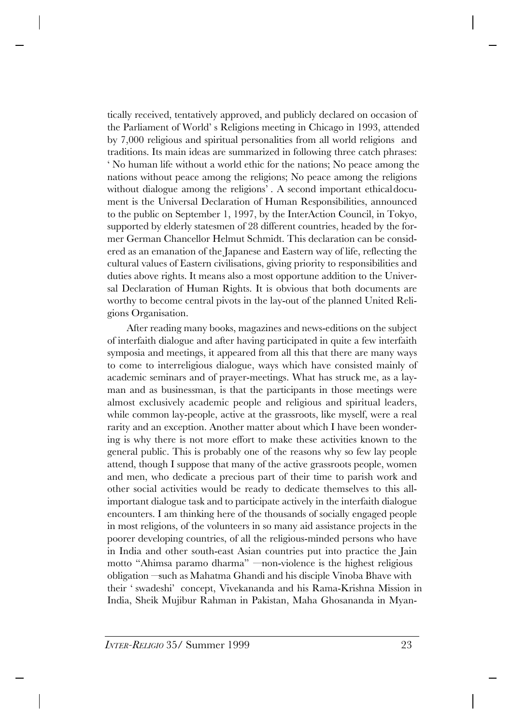tically received, tentatively approved, and publicly declared on occasion of the Parliament of World's Religions meeting in Chicago in 1993, attended by 7,000 religious and spiritual personalities from all world religions and traditions. Its main ideas are summarized in following three catch phrases: 'No human life without a world ethic for the nations; No peace among the nations without peace among the religions; No peace among the religions without dialogue among the religions'. A second important ethicaldocument is the Universal Declaration of Human Responsibilities, announced to the public on September 1, 1997, by the InterAction Council, in Tokyo, supported by elderly statesmen of 28 different countries, headed by the former German Chancellor Helmut Schmidt. This declaration can be considered as an emanation of the Japanese and Eastern way of life, reflecting the cultural values of Eastern civilisations, giving priority to responsibilities and duties above rights. It means also a most opportune addition to the Universal Declaration of Human Rights. It is obvious that both documents are worthy to become central pivots in the lay-out of the planned United Religions Organisation.

After reading many books, magazines and news-editions on the subject of interfaith dialogue and after having participated in quite a few interfaith symposia and meetings, it appeared from all this that there are many ways to come to interreligious dialogue, ways which have consisted mainly of academic seminars and of prayer-meetings. What has struck me, as a layman and as businessman, is that the participants in those meetings were almost exclusively academic people and religious and spiritual leaders, while common lay-people, active at the grassroots, like myself, were a real rarity and an exception. Another matter about which I have been wondering is why there is not more effort to make these activities known to the general public. This is probably one of the reasons why so few lay people attend, though I suppose that many of the active grassroots people, women and men, who dedicate a precious part of their time to parish work and other social activities would be ready to dedicate themselves to this allimportant dialogue task and to participate actively in the interfaith dialogue encounters. I am thinking here of the thousands of socially engaged people in most religions, of the volunteers in so many aid assistance projects in the poorer developing countries, of all the religious-minded persons who have in India and other south-east Asian countries put into practice the Jain motto "Ahimsa paramo dharma" — non-violence is the highest religious obligation — such as Mahatma Ghandi and his disciple Vinoba Bhave with their 'swadeshi' concept, Vivekananda and his Rama-Krishna Mission in India, Sheik Mujibur Rahman in Pakistan, Maha Ghosananda in Myan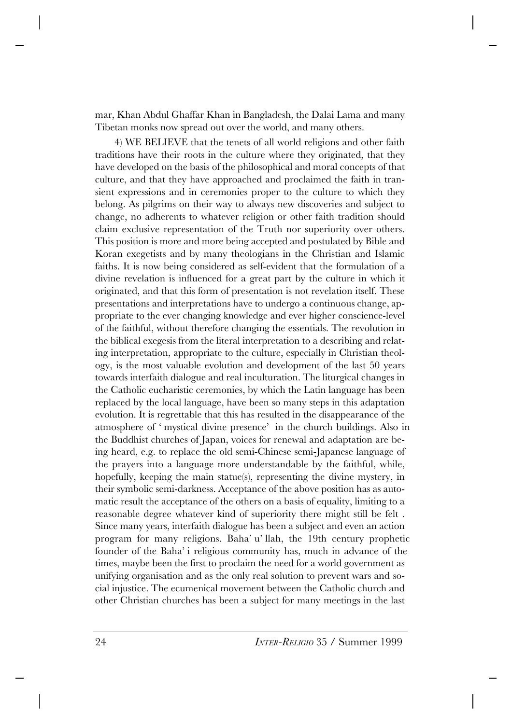mar, Khan Abdul Ghaffar Khan in Bangladesh, the Dalai Lama and many Tibetan monks now spread out over the world, and many others.

4) WE BELIEVE that the tenets of all world religions and other faith traditions have their roots in the culture where they originated, that they have developed on the basis of the philosophical and moral concepts of that culture, and that they have approached and proclaimed the faith in transient expressions and in ceremonies proper to the culture to which they belong. As pilgrims on their way to always new discoveries and subject to change, no adherents to whatever religion or other faith tradition should claim exclusive representation of the Truth nor superiority over others. This position is more and more being accepted and postulated by Bible and Koran exegetists and by many theologians in the Christian and Islamic faiths. It is now being considered as self-evident that the formulation of a divine revelation is influenced for a great part by the culture in which it originated, and that this form of presentation is not revelation itself. These presentations and interpretations have to undergo a continuous change, appropriate to the ever changing knowledge and ever higher conscience-level of the faithful, without therefore changing the essentials. The revolution in the biblical exegesis from the literal interpretation to a describing and relating interpretation, appropriate to the culture, especially in Christian theology, is the most valuable evolution and development of the last 50 years towards interfaith dialogue and real inculturation. The liturgical changes in the Catholic eucharistic ceremonies, by which the Latin language has been replaced by the local language, have been so many steps in this adaptation evolution. It is regrettable that this has resulted in the disappearance of the atmosphere of 'mystical divine presence' in the church buildings. Also in the Buddhist churches of Japan, voices for renewal and adaptation are being heard, e.g. to replace the old semi-Chinese semi-Japanese language of the prayers into a language more understandable by the faithful, while, hopefully, keeping the main statue(s), representing the divine mystery, in their symbolic semi-darkness. Acceptance of the above position has as automatic result the acceptance of the others on a basis of equality, limiting to a reasonable degree whatever kind of superiority there might still be felt . Since many years, interfaith dialogue has been a subject and even an action program for many religions. Baha'u'llah, the 19th century prophetic founder of the Baha'i religious community has, much in advance of the times, maybe been the first to proclaim the need for a world government as unifying organisation and as the only real solution to prevent wars and social injustice. The ecumenical movement between the Catholic church and other Christian churches has been a subject for many meetings in the last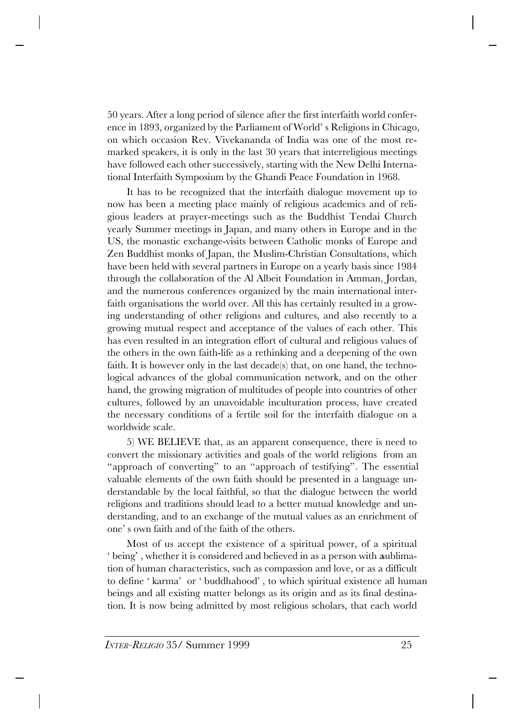50 years. After a long period of silence after the first interfaith world conference in 1893, organized by the Parliament of World's Religions in Chicago, on which occasion Rev. Vivekananda of India was one of the most remarked speakers, it is only in the last 30 years that interreligious meetings have followed each other successively, starting with the New Delhi International Interfaith Symposium by the Ghandi Peace Foundation in 1968.

It has to be recognized that the interfaith dialogue movement up to now has been a meeting place mainly of religious academics and of religious leaders at prayer-meetings such as the Buddhist Tendai Church yearly Summer meetings in Japan, and many others in Europe and in the US, the monastic exchange-visits between Catholic monks of Europe and Zen Buddhist monks of Japan, the Muslim-Christian Consultations, which have been held with several partners in Europe on a yearly basis since 1984 through the collaboration of the Al Albeit Foundation in Amman, Jordan, and the numerous conferences organized by the main international interfaith organisations the world over. All this has certainly resulted in a growing understanding of other religions and cultures, and also recently to a growing mutual respect and acceptance of the values of each other. This has even resulted in an integration effort of cultural and religious values of the others in the own faith-life as a rethinking and a deepening of the own faith. It is however only in the last decade(s) that, on one hand, the technological advances of the global communication network, and on the other hand, the growing migration of multitudes of people into countries of other cultures, followed by an unavoidable inculturation process, have created the necessary conditions of a fertile soil for the interfaith dialogue on a worldwide scale.

5) WE BELIEVE that, as an apparent consequence, there is need to convert the missionary activities and goals of the world religions from an "approach of converting" to an "approach of testifying". The essential valuable elements of the own faith should be presented in a language understandable by the local faithful, so that the dialogue between the world religions and traditions should lead to a better mutual knowledge and understanding, and to an exchange of the mutual values as an enrichment of one's own faith and of the faith of the others.

Most of us accept the existence of a spiritual power, of a spiritual ' being', whether it is considered and believed in as a person with a sublimation of human characteristics, such as compassion and love, or as a difficult to define 'karma' or 'buddhahood', to which spiritual existence all human beings and all existing matter belongs as its origin and as its final destination. It is now being admitted by most religious scholars, that each world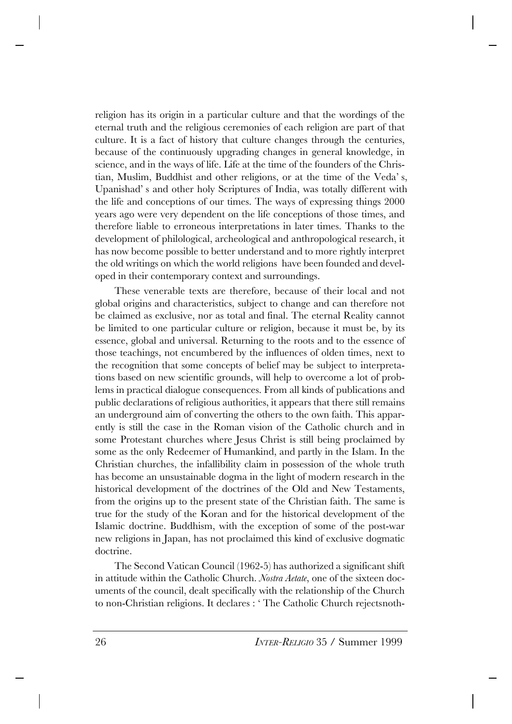religion has its origin in a particular culture and that the wordings of the eternal truth and the religious ceremonies of each religion are part of that culture. It is a fact of history that culture changes through the centuries, because of the continuously upgrading changes in general knowledge, in science, and in the ways of life. Life at the time of the founders of the Christian, Muslim, Buddhist and other religions, or at the time of the Veda's, Upanishad's and other holy Scriptures of India, was totally different with the life and conceptions of our times. The ways of expressing things 2000 years ago were very dependent on the life conceptions of those times, and therefore liable to erroneous interpretations in later times. Thanks to the development of philological, archeological and anthropological research, it has now become possible to better understand and to more rightly interpret the old writings on which the world religions have been founded and developed in their contemporary context and surroundings.

These venerable texts are therefore, because of their local and not global origins and characteristics, subject to change and can therefore not be claimed as exclusive, nor as total and final. The eternal Reality cannot be limited to one particular culture or religion, because it must be, by its essence, global and universal. Returning to the roots and to the essence of those teachings, not encumbered by the influences of olden times, next to the recognition that some concepts of belief may be subject to interpretations based on new scientific grounds, will help to overcome a lot of problems in practical dialogue consequences. From all kinds of publications and public declarations of religious authorities, it appears that there still remains an underground aim of converting the others to the own faith. This apparently is still the case in the Roman vision of the Catholic church and in some Protestant churches where Jesus Christ is still being proclaimed by some as the only Redeemer of Humankind, and partly in the Islam. In the Christian churches, the infallibility claim in possession of the whole truth has become an unsustainable dogma in the light of modern research in the historical development of the doctrines of the Old and New Testaments, from the origins up to the present state of the Christian faith. The same is true for the study of the Koran and for the historical development of the Islamic doctrine. Buddhism, with the exception of some of the post-war new religions in Japan, has not proclaimed this kind of exclusive dogmatic doctrine.

The Second Vatican Council (1962-5) has authorized a significant shift in attitude within the Catholic Church. *Nostra Aetate*, one of the sixteen documents of the council, dealt specifically with the relationship of the Church to non-Christian religions. It declares : 'The Catholic Church rejects noth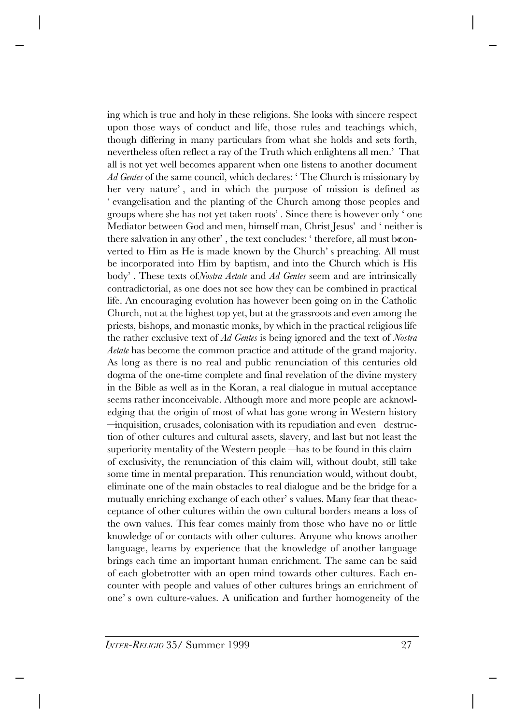ing which is true and holy in these religions. She looks with sincere respect upon those ways of conduct and life, those rules and teachings which, though differing in many particulars from what she holds and sets forth, nevertheless often reflect a ray of the Truth which enlightens all men.' That all is not yet well becomes apparent when one listens to another document *Ad Gentes* of the same council, which declares: 'The Church is missionary by her very nature', and in which the purpose of mission is defined as 'evangelisation and the planting of the Church among those peoples and groups where she has not yet taken roots'. Since there is however only 'one Mediator between God and men, himself man, Christ Jesus' and 'neither is there salvation in any other', the text concludes: 'therefore, all must be converted to Him as He is made known by the Church's preaching. All must be incorporated into Him by baptism, and into the Church which is His body'. These texts of*Nostra Aetate* and *Ad Gentes* seem and are intrinsically contradictorial, as one does not see how they can be combined in practical life. An encouraging evolution has however been going on in the Catholic Church, not at the highest top yet, but at the grassroots and even among the priests, bishops, and monastic monks, by which in the practical religious life the rather exclusive text of *Ad Gentes* is being ignored and the text of *Nostra Aetate* has become the common practice and attitude of the grand majority. As long as there is no real and public renunciation of this centuries old dogma of the one-time complete and final revelation of the divine mystery in the Bible as well as in the Koran, a real dialogue in mutual acceptance seems rather inconceivable. Although more and more people are acknowledging that the origin of most of what has gone wrong in Western history — inquisition, crusades, colonisation with its repudiation and even destruction of other cultures and cultural assets, slavery, and last but not least the superiority mentality of the Western people —has to be found in this claim of exclusivity, the renunciation of this claim will, without doubt, still take some time in mental preparation. This renunciation would, without doubt, eliminate one of the main obstacles to real dialogue and be the bridge for a mutually enriching exchange of each other's values. Many fear that the acceptance of other cultures within the own cultural borders means a loss of the own values. This fear comes mainly from those who have no or little knowledge of or contacts with other cultures. Anyone who knows another language, learns by experience that the knowledge of another language brings each time an important human enrichment. The same can be said of each globetrotter with an open mind towards other cultures. Each encounter with people and values of other cultures brings an enrichment of one's own culture-values. A unification and further homogeneity of the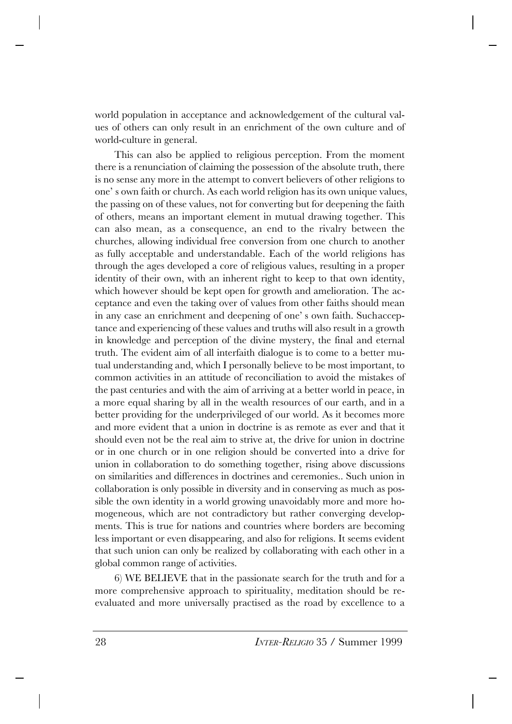world population in acceptance and acknowledgement of the cultural values of others can only result in an enrichment of the own culture and of world-culture in general.

This can also be applied to religious perception. From the moment there is a renunciation of claiming the possession of the absolute truth, there is no sense any more in the attempt to convert believers of other religions to one's own faith or church. As each world religion has its own unique values, the passing on of these values, not for converting but for deepening the faith of others, means an important element in mutual drawing together. This can also mean, as a consequence, an end to the rivalry between the churches, allowing individual free conversion from one church to another as fully acceptable and understandable. Each of the world religions has through the ages developed a core of religious values, resulting in a proper identity of their own, with an inherent right to keep to that own identity, which however should be kept open for growth and amelioration. The acceptance and even the taking over of values from other faiths should mean in any case an enrichment and deepening of one's own faith. Suchacceptance and experiencing of these values and truths will also result in a growth in knowledge and perception of the divine mystery, the final and eternal truth. The evident aim of all interfaith dialogue is to come to a better mutual understanding and, which I personally believe to be most important, to common activities in an attitude of reconciliation to avoid the mistakes of the past centuries and with the aim of arriving at a better world in peace, in a more equal sharing by all in the wealth resources of our earth, and in a better providing for the underprivileged of our world. As it becomes more and more evident that a union in doctrine is as remote as ever and that it should even not be the real aim to strive at, the drive for union in doctrine or in one church or in one religion should be converted into a drive for union in collaboration to do something together, rising above discussions on similarities and differences in doctrines and ceremonies.. Such union in collaboration is only possible in diversity and in conserving as much as possible the own identity in a world growing unavoidably more and more homogeneous, which are not contradictory but rather converging developments. This is true for nations and countries where borders are becoming less important or even disappearing, and also for religions. It seems evident that such union can only be realized by collaborating with each other in a global common range of activities.

6) WE BELIEVE that in the passionate search for the truth and for a more comprehensive approach to spirituality, meditation should be reevaluated and more universally practised as the road by excellence to a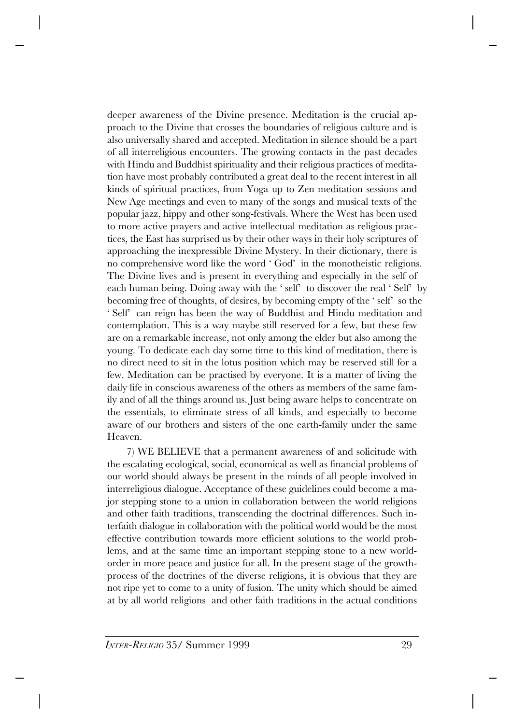deeper awareness of the Divine presence. Meditation is the crucial approach to the Divine that crosses the boundaries of religious culture and is also universally shared and accepted. Meditation in silence should be a part of all interreligious encounters. The growing contacts in the past decades with Hindu and Buddhist spirituality and their religious practices of meditation have most probably contributed a great deal to the recent interest in all kinds of spiritual practices, from Yoga up to Zen meditation sessions and New Age meetings and even to many of the songs and musical texts of the popular jazz, hippy and other song-festivals. Where the West has been used to more active prayers and active intellectual meditation as religious practices, the East has surprised us by their other ways in their holy scriptures of approaching the inexpressible Divine Mystery. In their dictionary, there is no comprehensive word like the word 'God' in the monotheistic religions. The Divine lives and is present in everything and especially in the self of each human being. Doing away with the 'self' to discover the real 'Self' by becoming free of thoughts, of desires, by becoming empty of the 'self' so the 'Self' can reign has been the way of Buddhist and Hindu meditation and contemplation. This is a way maybe still reserved for a few, but these few are on a remarkable increase, not only among the elder but also among the young. To dedicate each day some time to this kind of meditation, there is no direct need to sit in the lotus position which may be reserved still for a few. Meditation can be practised by everyone. It is a matter of living the daily life in conscious awareness of the others as members of the same family and of all the things around us. Just being aware helps to concentrate on the essentials, to eliminate stress of all kinds, and especially to become aware of our brothers and sisters of the one earth-family under the same Heaven.

7) WE BELIEVE that a permanent awareness of and solicitude with the escalating ecological, social, economical as well as financial problems of our world should always be present in the minds of all people involved in interreligious dialogue. Acceptance of these guidelines could become a major stepping stone to a union in collaboration between the world religions and other faith traditions, transcending the doctrinal differences. Such interfaith dialogue in collaboration with the political world would be the most effective contribution towards more efficient solutions to the world problems, and at the same time an important stepping stone to a new worldorder in more peace and justice for all. In the present stage of the growthprocess of the doctrines of the diverse religions, it is obvious that they are not ripe yet to come to a unity of fusion. The unity which should be aimed at by all world religions and other faith traditions in the actual conditions